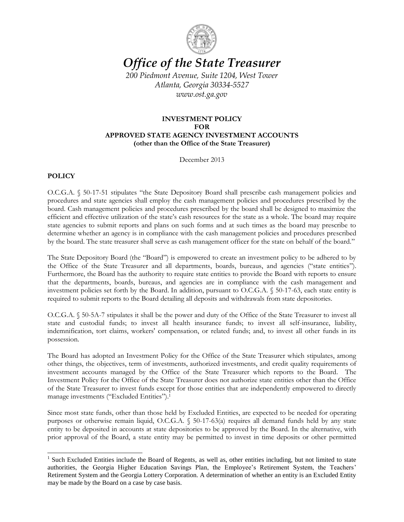

# *Office of the State Treasurer*

*200 Piedmont Avenue, Suite 1204, West Tower Atlanta, Georgia 30334-5527 www.ost.ga.gov*

# **INVESTMENT POLICY FOR APPROVED STATE AGENCY INVESTMENT ACCOUNTS (other than the Office of the State Treasurer)**

December 2013

## **POLICY**

 $\overline{a}$ 

O.C.G.A. § 50-17-51 stipulates "the State Depository Board shall prescribe cash management policies and procedures and state agencies shall employ the cash management policies and procedures prescribed by the board. Cash management policies and procedures prescribed by the board shall be designed to maximize the efficient and effective utilization of the state's cash resources for the state as a whole. The board may require state agencies to submit reports and plans on such forms and at such times as the board may prescribe to determine whether an agency is in compliance with the cash management policies and procedures prescribed by the board. The state treasurer shall serve as cash management officer for the state on behalf of the board."

The State Depository Board (the "Board") is empowered to create an investment policy to be adhered to by the Office of the State Treasurer and all departments, boards, bureaus, and agencies ("state entities"). Furthermore, the Board has the authority to require state entities to provide the Board with reports to ensure that the departments, boards, bureaus, and agencies are in compliance with the cash management and investment policies set forth by the Board. In addition, pursuant to O.C.G.A. § 50-17-63, each state entity is required to submit reports to the Board detailing all deposits and withdrawals from state depositories.

O.C.G.A. § 50-5A-7 stipulates it shall be the power and duty of the Office of the State Treasurer to invest all state and custodial funds; to invest all health insurance funds; to invest all self-insurance, liability, indemnification, tort claims, workers' compensation, or related funds; and, to invest all other funds in its possession.

The Board has adopted an Investment Policy for the Office of the State Treasurer which stipulates, among other things, the objectives, term of investments, authorized investments, and credit quality requirements of investment accounts managed by the Office of the State Treasurer which reports to the Board. The Investment Policy for the Office of the State Treasurer does not authorize state entities other than the Office of the State Treasurer to invest funds except for those entities that are independently empowered to directly manage investments ("Excluded Entities").<sup>1</sup>

Since most state funds, other than those held by Excluded Entities, are expected to be needed for operating purposes or otherwise remain liquid, O.C.G.A. § 50-17-63(a) requires all demand funds held by any state entity to be deposited in accounts at state depositories to be approved by the Board. In the alternative, with prior approval of the Board, a state entity may be permitted to invest in time deposits or other permitted

<sup>&</sup>lt;sup>1</sup> Such Excluded Entities include the Board of Regents, as well as, other entities including, but not limited to state authorities, the Georgia Higher Education Savings Plan, the Employee's Retirement System, the Teachers' Retirement System and the Georgia Lottery Corporation. A determination of whether an entity is an Excluded Entity may be made by the Board on a case by case basis.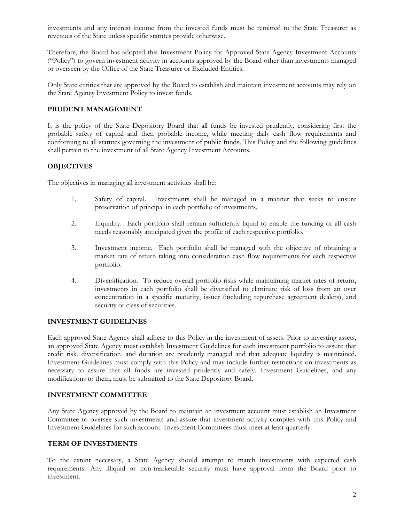investments and any interest income from the invested funds must be remitted to the State Treasurer as revenues of the State unless specific statutes provide otherwise.

Therefore, the Board has adopted this Investment Policy for Approved State Agency Investment Accounts ("Policy") to govern investment activity in accounts approved by the Board other than investments managed or overseen by the Office of the State Treasurer or Excluded Entities.

Only State entities that are approved by the Board to establish and maintain investment accounts may rely on the State Agency Investment Policy to invest funds.

## **PRUDENT MANAGEMENT**

It is the policy of the State Depository Board that all funds be invested prudently, considering first the probable safety of capital and then probable income, while meeting daily cash flow requirements and conforming to all statutes governing the investment of public funds. This Policy and the following guidelines shall pertain to the investment of all State Agency Investment Accounts.

## **OBJECTIVES**

The objectives in managing all investment activities shall be:

- 1. Safety of capital. Investments shall be managed in a manner that seeks to ensure preservation of principal in each portfolio of investments.
- 2. Liquidity. Each portfolio shall remain sufficiently liquid to enable the funding of all cash needs reasonably anticipated given the profile of each respective portfolio.
- 3. Investment income. Each portfolio shall be managed with the objective of obtaining a market rate of return taking into consideration cash flow requirements for each respective portfolio.
- 4. Diversification. To reduce overall portfolio risks while maintaining market rates of return, investments in each portfolio shall be diversified to eliminate risk of loss from an over concentration in a specific maturity, issuer (including repurchase agreement dealers), and security or class of securities.

## **INVESTMENT GUIDELINES**

Each approved State Agency shall adhere to this Policy in the investment of assets. Prior to investing assets, an approved State Agency must establish Investment Guidelines for each investment portfolio to assure that credit risk, diversification, and duration are prudently managed and that adequate liquidity is maintained. Investment Guidelines must comply with this Policy and may include further restrictions on investments as necessary to assure that all funds are invested prudently and safely. Investment Guidelines, and any modifications to them, must be submitted to the State Depository Board.

#### **INVESTMENT COMMITTEE**

Any State Agency approved by the Board to maintain an investment account must establish an Investment Committee to oversee such investments and assure that investment activity complies with this Policy and Investment Guidelines for such account. Investment Committees must meet at least quarterly.

## **TERM OF INVESTMENTS**

To the extent necessary, a State Agency should attempt to match investments with expected cash requirements. Any illiquid or non-marketable security must have approval from the Board prior to investment.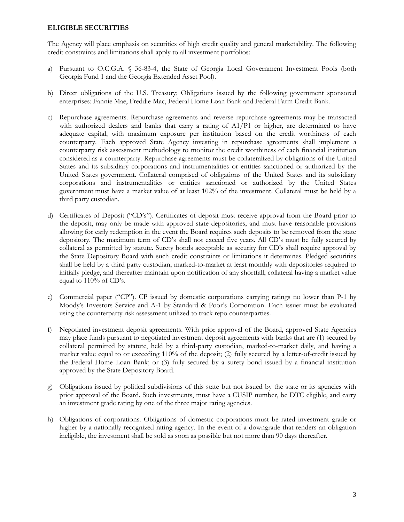#### **ELIGIBLE SECURITIES**

The Agency will place emphasis on securities of high credit quality and general marketability. The following credit constraints and limitations shall apply to all investment portfolios:

- a) Pursuant to O.C.G.A. § 36-83-4, the State of Georgia Local Government Investment Pools (both Georgia Fund 1 and the Georgia Extended Asset Pool).
- b) Direct obligations of the U.S. Treasury; Obligations issued by the following government sponsored enterprises: Fannie Mae, Freddie Mac, Federal Home Loan Bank and Federal Farm Credit Bank.
- c) Repurchase agreements. Repurchase agreements and reverse repurchase agreements may be transacted with authorized dealers and banks that carry a rating of A1/P1 or higher, are determined to have adequate capital, with maximum exposure per institution based on the credit worthiness of each counterparty. Each approved State Agency investing in repurchase agreements shall implement a counterparty risk assessment methodology to monitor the credit worthiness of each financial institution considered as a counterparty. Repurchase agreements must be collateralized by obligations of the United States and its subsidiary corporations and instrumentalities or entities sanctioned or authorized by the United States government. Collateral comprised of obligations of the United States and its subsidiary corporations and instrumentalities or entities sanctioned or authorized by the United States government must have a market value of at least 102% of the investment. Collateral must be held by a third party custodian.
- d) Certificates of Deposit ("CD's"). Certificates of deposit must receive approval from the Board prior to the deposit, may only be made with approved state depositories, and must have reasonable provisions allowing for early redemption in the event the Board requires such deposits to be removed from the state depository. The maximum term of CD's shall not exceed five years. All CD's must be fully secured by collateral as permitted by statute. Surety bonds acceptable as security for CD's shall require approval by the State Depository Board with such credit constraints or limitations it determines. Pledged securities shall be held by a third party custodian, marked-to-market at least monthly with depositories required to initially pledge, and thereafter maintain upon notification of any shortfall, collateral having a market value equal to 110% of CD's.
- e) Commercial paper ("CP"). CP issued by domestic corporations carrying ratings no lower than P-1 by Moody's Investors Service and A-1 by Standard & Poor's Corporation. Each issuer must be evaluated using the counterparty risk assessment utilized to track repo counterparties.
- f) Negotiated investment deposit agreements. With prior approval of the Board, approved State Agencies may place funds pursuant to negotiated investment deposit agreements with banks that are (1) secured by collateral permitted by statute, held by a third-party custodian, marked-to-market daily, and having a market value equal to or exceeding 110% of the deposit; (2) fully secured by a letter-of-credit issued by the Federal Home Loan Bank; or (3) fully secured by a surety bond issued by a financial institution approved by the State Depository Board.
- g) Obligations issued by political subdivisions of this state but not issued by the state or its agencies with prior approval of the Board. Such investments, must have a CUSIP number, be DTC eligible, and carry an investment grade rating by one of the three major rating agencies.
- h) Obligations of corporations. Obligations of domestic corporations must be rated investment grade or higher by a nationally recognized rating agency. In the event of a downgrade that renders an obligation ineligible, the investment shall be sold as soon as possible but not more than 90 days thereafter.